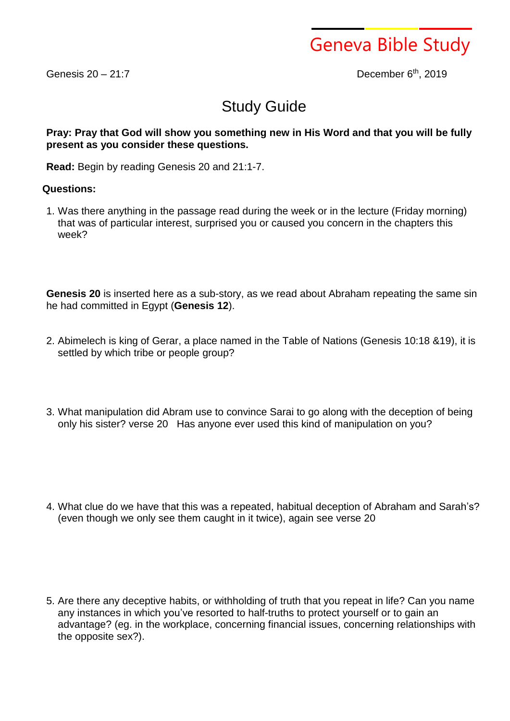

Genesis  $20 - 21:7$ 

th , 2019

## Study Guide

## **Pray: Pray that God will show you something new in His Word and that you will be fully present as you consider these questions.**

**Read:** Begin by reading Genesis 20 and 21:1-7.

## **Questions:**

1. Was there anything in the passage read during the week or in the lecture (Friday morning) that was of particular interest, surprised you or caused you concern in the chapters this week?

**Genesis 20** is inserted here as a sub-story, as we read about Abraham repeating the same sin he had committed in Egypt (**Genesis 12**).

- 2. Abimelech is king of Gerar, a place named in the Table of Nations (Genesis 10:18 &19), it is settled by which tribe or people group?
- 3. What manipulation did Abram use to convince Sarai to go along with the deception of being only his sister? verse 20 Has anyone ever used this kind of manipulation on you?
- 4. What clue do we have that this was a repeated, habitual deception of Abraham and Sarah's? (even though we only see them caught in it twice), again see verse 20
- 5. Are there any deceptive habits, or withholding of truth that you repeat in life? Can you name any instances in which you've resorted to half-truths to protect yourself or to gain an advantage? (eg. in the workplace, concerning financial issues, concerning relationships with the opposite sex?).